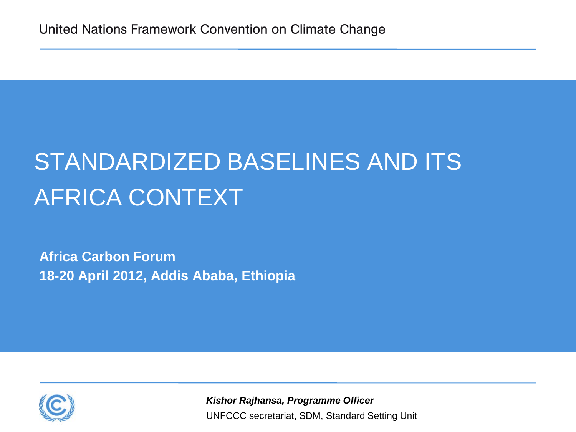# STANDARDIZED BASELINES AND ITS AFRICA CONTEXT

**Africa Carbon Forum 18-20 April 2012, Addis Ababa, Ethiopia**



UNFCCC secretariat, SDM, Standard Setting Unit *Kishor Rajhansa, Programme Officer*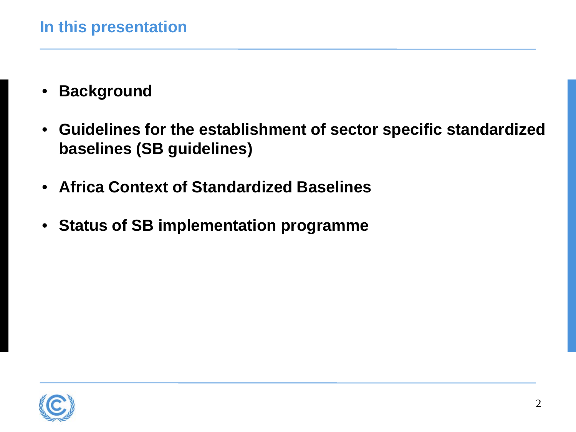- **Background**
- **Guidelines for the establishment of sector specific standardized baselines (SB guidelines)**
- **Africa Context of Standardized Baselines**
- **Status of SB implementation programme**

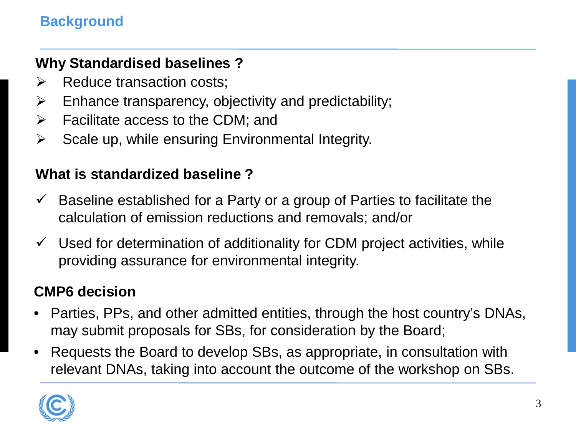#### **Background**

#### **Why Standardised baselines ?**

- $\triangleright$  Reduce transaction costs;
- $\triangleright$  Enhance transparency, objectivity and predictability;
- $\triangleright$  Facilitate access to the CDM; and
- $\triangleright$  Scale up, while ensuring Environmental Integrity.

#### **What is standardized baseline ?**

- $\checkmark$  Baseline established for a Party or a group of Parties to facilitate the calculation of emission reductions and removals; and/or
- $\checkmark$  Used for determination of additionality for CDM project activities, while providing assurance for environmental integrity.

#### **CMP6 decision**

- Parties, PPs, and other admitted entities, through the host country's DNAs, may submit proposals for SBs, for consideration by the Board;
- Requests the Board to develop SBs, as appropriate, in consultation with relevant DNAs, taking into account the outcome of the workshop on SBs.

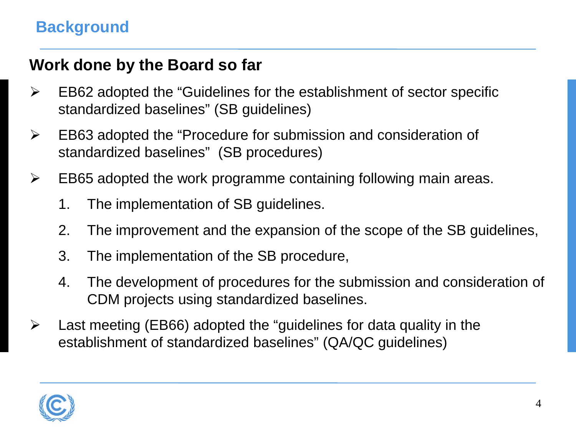## **Work done by the Board so far**

- $\triangleright$  EB62 adopted the "Guidelines for the establishment of sector specific standardized baselines" (SB guidelines)
- EB63 adopted the "Procedure for submission and consideration of standardized baselines" (SB procedures)
- $\triangleright$  EB65 adopted the work programme containing following main areas.
	- 1. The implementation of SB guidelines.
	- 2. The improvement and the expansion of the scope of the SB guidelines,
	- 3. The implementation of the SB procedure,
	- 4. The development of procedures for the submission and consideration of CDM projects using standardized baselines.
- $\triangleright$  Last meeting (EB66) adopted the "guidelines for data quality in the establishment of standardized baselines" (QA/QC guidelines)

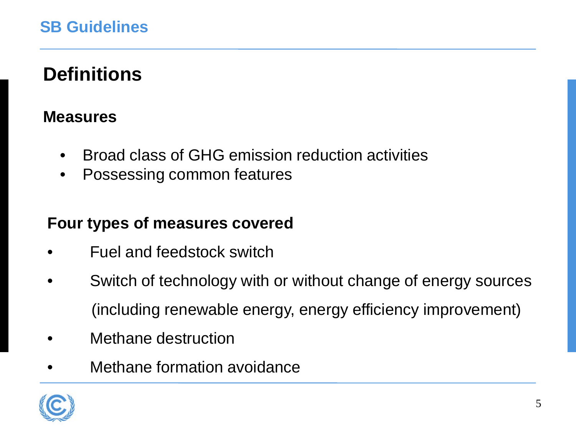## **Definitions**

## **Measures**

- Broad class of GHG emission reduction activities
- Possessing common features

#### **Four types of measures covered**

- •Fuel and feedstock switch
- Switch of technology with or without change of energy sources (including renewable energy, energy efficiency improvement)
- Methane destruction
- Methane formation avoidance

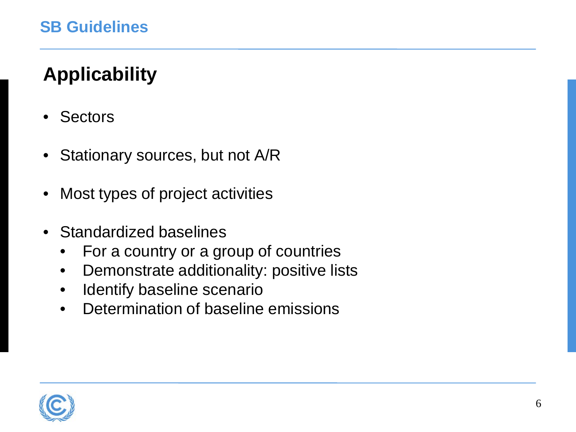## **Applicability**

- **Sectors**
- Stationary sources, but not A/R
- Most types of project activities
- Standardized baselines
	- For a country or a group of countries
	- Demonstrate additionality: positive lists
	- Identify baseline scenario
	- Determination of baseline emissions

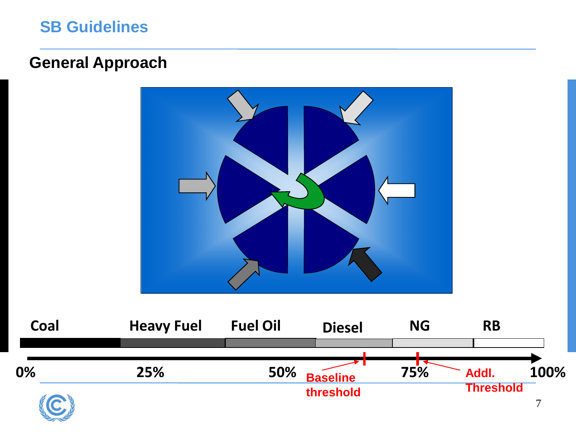## **SB Guidelines**

#### **General Approach**



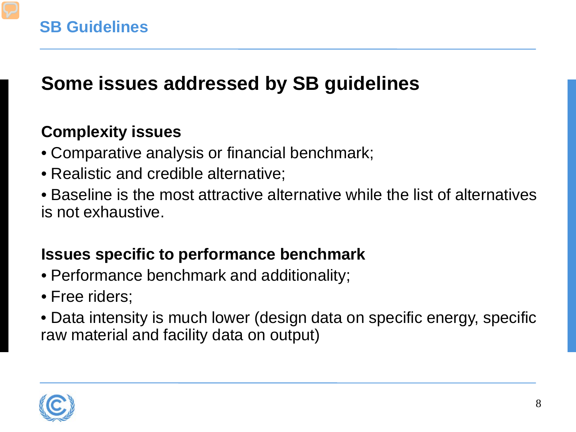## **Some issues addressed by SB guidelines**

## **Complexity issues**

- Comparative analysis or financial benchmark;
- Realistic and credible alternative;
- Baseline is the most attractive alternative while the list of alternatives is not exhaustive.

## **Issues specific to performance benchmark**

- Performance benchmark and additionality;
- Free riders;
- Data intensity is much lower (design data on specific energy, specific raw material and facility data on output)

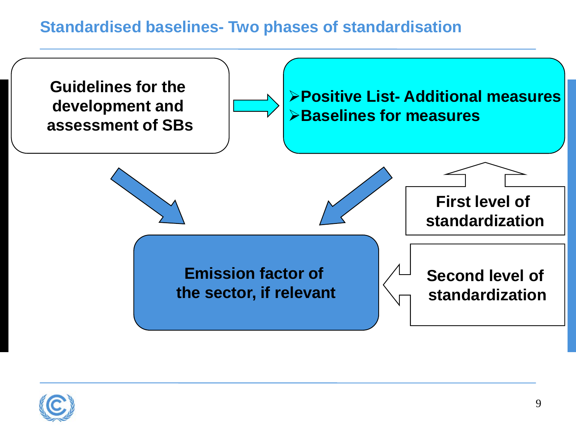## **Standardised baselines- Two phases of standardisation**



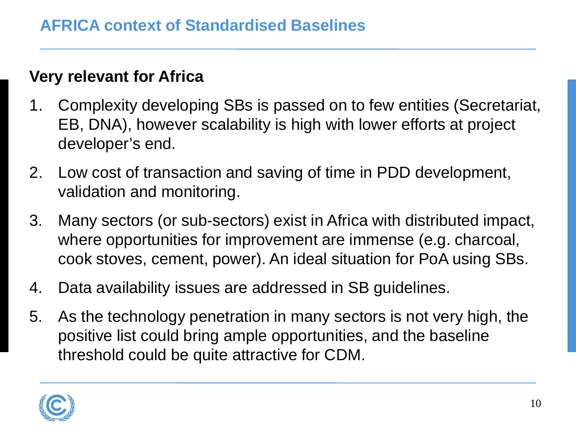## **Very relevant for Africa**

- 1. Complexity developing SBs is passed on to few entities (Secretariat, EB, DNA), however scalability is high with lower efforts at project developer's end.
- 2. Low cost of transaction and saving of time in PDD development, validation and monitoring.
- 3. Many sectors (or sub-sectors) exist in Africa with distributed impact, where opportunities for improvement are immense (e.g. charcoal, cook stoves, cement, power). An ideal situation for PoA using SBs.
- 4. Data availability issues are addressed in SB guidelines.
- 5. As the technology penetration in many sectors is not very high, the positive list could bring ample opportunities, and the baseline threshold could be quite attractive for CDM.

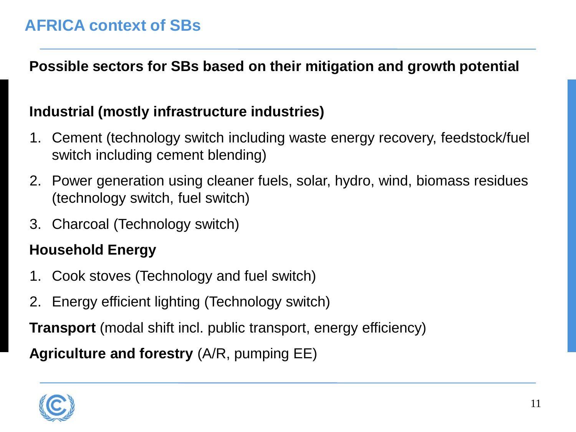**Possible sectors for SBs based on their mitigation and growth potential**

#### **Industrial (mostly infrastructure industries)**

- 1. Cement (technology switch including waste energy recovery, feedstock/fuel switch including cement blending)
- 2. Power generation using cleaner fuels, solar, hydro, wind, biomass residues (technology switch, fuel switch)
- 3. Charcoal (Technology switch)

## **Household Energy**

- 1. Cook stoves (Technology and fuel switch)
- 2. Energy efficient lighting (Technology switch)

**Transport** (modal shift incl. public transport, energy efficiency)

**Agriculture and forestry** (A/R, pumping EE)

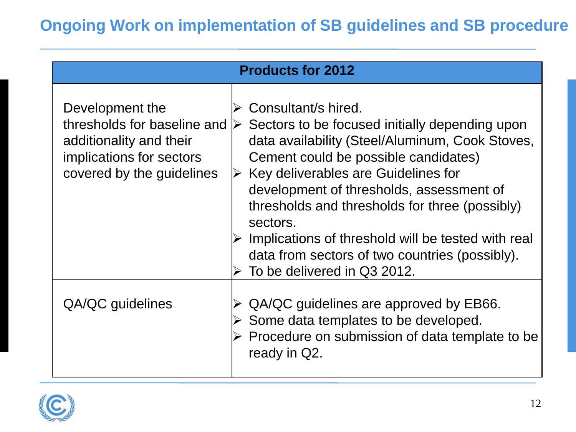| <b>Products for 2012</b>                                                                                                           |                                                                                                                                                                                                                                                                                                                                                                                                                                                                                               |  |
|------------------------------------------------------------------------------------------------------------------------------------|-----------------------------------------------------------------------------------------------------------------------------------------------------------------------------------------------------------------------------------------------------------------------------------------------------------------------------------------------------------------------------------------------------------------------------------------------------------------------------------------------|--|
| Development the<br>thresholds for baseline and<br>additionality and their<br>implications for sectors<br>covered by the guidelines | Consultant/s hired.<br>Sectors to be focused initially depending upon<br>$\triangleright$<br>data availability (Steel/Aluminum, Cook Stoves,<br>Cement could be possible candidates)<br>$\triangleright$ Key deliverables are Guidelines for<br>development of thresholds, assessment of<br>thresholds and thresholds for three (possibly)<br>sectors.<br>Implications of threshold will be tested with real<br>data from sectors of two countries (possibly).<br>To be delivered in Q3 2012. |  |
| QA/QC guidelines                                                                                                                   | QA/QC guidelines are approved by EB66.<br>Some data templates to be developed.<br>Procedure on submission of data template to be<br>ready in Q2.                                                                                                                                                                                                                                                                                                                                              |  |

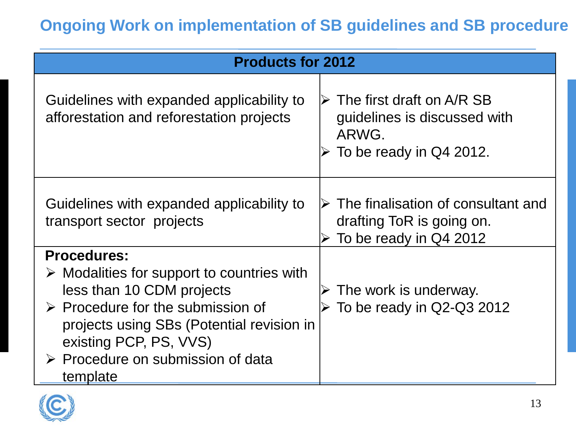| <b>Products for 2012</b>                                                                                                                                                                                                                                                                 |                                                                                                                |
|------------------------------------------------------------------------------------------------------------------------------------------------------------------------------------------------------------------------------------------------------------------------------------------|----------------------------------------------------------------------------------------------------------------|
| Guidelines with expanded applicability to<br>afforestation and reforestation projects                                                                                                                                                                                                    | $\triangleright$ The first draft on A/R SB<br>guidelines is discussed with<br>ARWG.<br>To be ready in Q4 2012. |
| Guidelines with expanded applicability to<br>transport sector projects                                                                                                                                                                                                                   | $\triangleright$ The finalisation of consultant and<br>drafting ToR is going on.<br>To be ready in Q4 2012     |
| <b>Procedures:</b><br>$\triangleright$ Modalities for support to countries with<br>less than 10 CDM projects<br>$\triangleright$ Procedure for the submission of<br>projects using SBs (Potential revision in<br>existing PCP, PS, VVS)<br>▶ Procedure on submission of data<br>template | The work is underway.<br>$\triangleright$ To be ready in Q2-Q3 2012                                            |

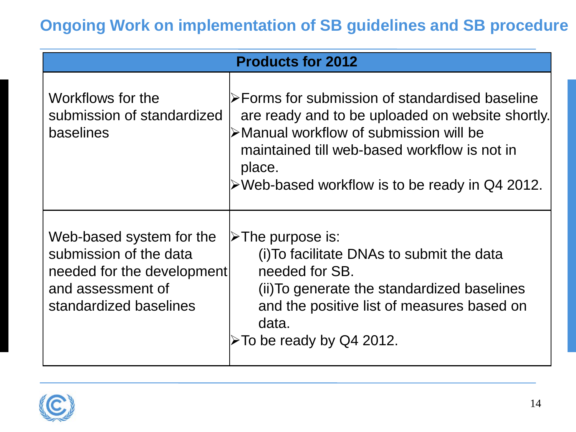| <b>Products for 2012</b>                                                                                                        |                                                                                                                                                                                                                                                                           |  |
|---------------------------------------------------------------------------------------------------------------------------------|---------------------------------------------------------------------------------------------------------------------------------------------------------------------------------------------------------------------------------------------------------------------------|--|
| Workflows for the<br>submission of standardized<br>baselines                                                                    | l≻Forms for submission of standardised baseline<br>are ready and to be uploaded on website shortly.<br>≻Manual workflow of submission will be<br>maintained till web-based workflow is not in<br>place.<br>$\triangleright$ Web-based workflow is to be ready in Q4 2012. |  |
| Web-based system for the<br>submission of the data<br>needed for the development<br>and assessment of<br>standardized baselines | $\triangleright$ The purpose is:<br>(i) To facilitate DNAs to submit the data<br>needed for SB.<br>(ii) To generate the standardized baselines<br>and the positive list of measures based on<br>data.<br>>To be ready by Q4 2012.                                         |  |

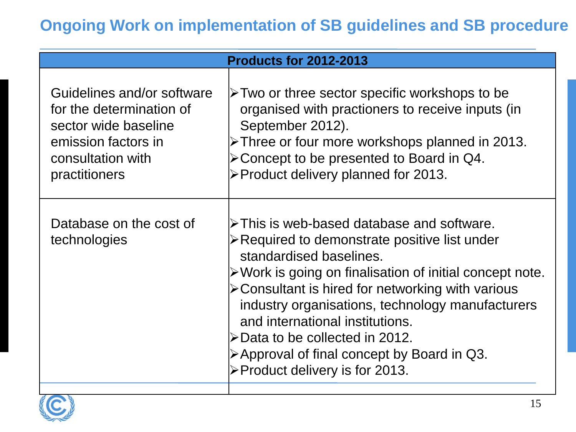| <b>Products for 2012-2013</b>                                                                                                               |                                                                                                                                                                                                                                                                                                                                                                                                                                                                                                                              |  |
|---------------------------------------------------------------------------------------------------------------------------------------------|------------------------------------------------------------------------------------------------------------------------------------------------------------------------------------------------------------------------------------------------------------------------------------------------------------------------------------------------------------------------------------------------------------------------------------------------------------------------------------------------------------------------------|--|
| Guidelines and/or software<br>for the determination of<br>sector wide baseline<br>emission factors in<br>consultation with<br>practitioners | $\triangleright$ Two or three sector specific workshops to be<br>organised with practioners to receive inputs (in<br>September 2012).<br>>Three or four more workshops planned in 2013.<br>$\triangleright$ Concept to be presented to Board in Q4.<br>>Product delivery planned for 2013.                                                                                                                                                                                                                                   |  |
| Database on the cost of<br>technologies                                                                                                     | $\triangleright$ This is web-based database and software.<br>≻Required to demonstrate positive list under<br>standardised baselines.<br>$\triangleright$ Work is going on finalisation of initial concept note.<br>$\triangleright$ Consultant is hired for networking with various<br>industry organisations, technology manufacturers<br>and international institutions.<br>$\triangleright$ Data to be collected in 2012.<br>$\triangleright$ Approval of final concept by Board in Q3.<br>≻Product delivery is for 2013. |  |

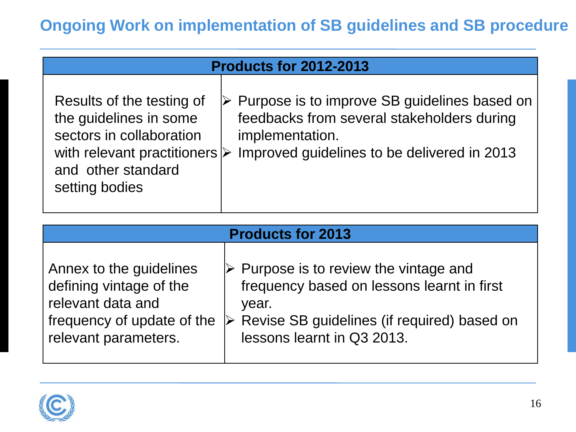| <b>Products for 2012-2013</b>                                                                                                                                           |                                                                                                                                                                               |  |  |
|-------------------------------------------------------------------------------------------------------------------------------------------------------------------------|-------------------------------------------------------------------------------------------------------------------------------------------------------------------------------|--|--|
| Results of the testing of<br>the guidelines in some<br>sectors in collaboration<br>with relevant practitioners $\triangleright$<br>and other standard<br>setting bodies | $\triangleright$ Purpose is to improve SB guidelines based on<br>feedbacks from several stakeholders during<br>implementation.<br>Improved guidelines to be delivered in 2013 |  |  |

| <b>Products for 2013</b>   |                                                              |  |
|----------------------------|--------------------------------------------------------------|--|
| Annex to the guidelines    | $\triangleright$ Purpose is to review the vintage and        |  |
| defining vintage of the    | frequency based on lessons learnt in first                   |  |
| relevant data and          | year.                                                        |  |
| frequency of update of the | $\triangleright$ Revise SB guidelines (if required) based on |  |
| relevant parameters.       | lessons learnt in Q3 2013.                                   |  |